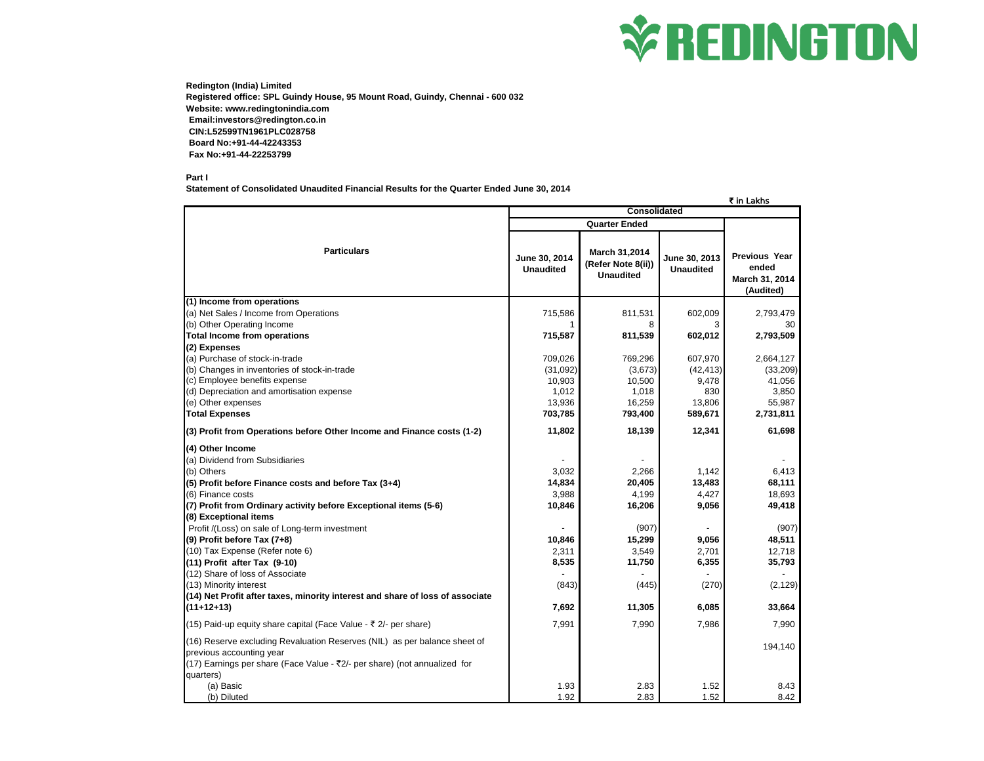

**Redington (India) Limited Registered office: SPL Guindy House, 95 Mount Road, Guindy, Chennai - 600 032 Website: www.redingtonindia.com Email:investors@redington.co.in CIN:L52599TN1961PLC028758 Board No:+91-44-42243353 Fax No:+91-44-22253799**

**Part I**

**Statement of Consolidated Unaudited Financial Results for the Quarter Ended June 30, 2014**

|                                                                                                                                                                                                 |                                   |                                                                |                                   | ₹ in Lakhs                                                   |
|-------------------------------------------------------------------------------------------------------------------------------------------------------------------------------------------------|-----------------------------------|----------------------------------------------------------------|-----------------------------------|--------------------------------------------------------------|
|                                                                                                                                                                                                 | <b>Consolidated</b>               |                                                                |                                   |                                                              |
|                                                                                                                                                                                                 | <b>Quarter Ended</b>              |                                                                |                                   |                                                              |
| <b>Particulars</b>                                                                                                                                                                              | June 30, 2014<br><b>Unaudited</b> | <b>March 31,2014</b><br>(Refer Note 8(ii))<br><b>Unaudited</b> | June 30, 2013<br><b>Unaudited</b> | <b>Previous Year</b><br>ended<br>March 31, 2014<br>(Audited) |
| (1) Income from operations                                                                                                                                                                      |                                   |                                                                |                                   |                                                              |
| (a) Net Sales / Income from Operations                                                                                                                                                          | 715,586                           | 811,531                                                        | 602,009                           | 2,793,479                                                    |
| (b) Other Operating Income                                                                                                                                                                      |                                   | 8                                                              | 3                                 | 30                                                           |
| <b>Total Income from operations</b>                                                                                                                                                             | 715,587                           | 811,539                                                        | 602,012                           | 2,793,509                                                    |
| (2) Expenses                                                                                                                                                                                    |                                   |                                                                |                                   |                                                              |
| (a) Purchase of stock-in-trade                                                                                                                                                                  | 709,026                           | 769,296                                                        | 607,970                           | 2,664,127                                                    |
| (b) Changes in inventories of stock-in-trade                                                                                                                                                    | (31,092)                          | (3,673)                                                        | (42, 413)                         | (33, 209)                                                    |
| (c) Employee benefits expense                                                                                                                                                                   | 10,903                            | 10,500                                                         | 9,478                             | 41,056                                                       |
| (d) Depreciation and amortisation expense                                                                                                                                                       | 1,012                             | 1,018<br>16,259                                                | 830                               | 3,850<br>55,987                                              |
| (e) Other expenses<br><b>Total Expenses</b>                                                                                                                                                     | 13,936<br>703,785                 | 793,400                                                        | 13,806<br>589,671                 | 2,731,811                                                    |
|                                                                                                                                                                                                 |                                   |                                                                |                                   |                                                              |
| (3) Profit from Operations before Other Income and Finance costs (1-2)                                                                                                                          | 11,802                            | 18,139                                                         | 12,341                            | 61,698                                                       |
| (4) Other Income                                                                                                                                                                                |                                   |                                                                |                                   |                                                              |
| (a) Dividend from Subsidiaries                                                                                                                                                                  |                                   |                                                                |                                   |                                                              |
| (b) Others                                                                                                                                                                                      | 3,032                             | 2.266                                                          | 1.142                             | 6,413                                                        |
| (5) Profit before Finance costs and before Tax (3+4)                                                                                                                                            | 14,834                            | 20,405                                                         | 13,483                            | 68,111                                                       |
| (6) Finance costs                                                                                                                                                                               | 3.988                             | 4.199                                                          | 4.427                             | 18,693                                                       |
| (7) Profit from Ordinary activity before Exceptional items (5-6)                                                                                                                                | 10,846                            | 16,206                                                         | 9,056                             | 49,418                                                       |
| (8) Exceptional items                                                                                                                                                                           |                                   |                                                                |                                   |                                                              |
| Profit /(Loss) on sale of Long-term investment                                                                                                                                                  |                                   | (907)                                                          |                                   | (907)                                                        |
| (9) Profit before Tax (7+8)                                                                                                                                                                     | 10,846                            | 15,299                                                         | 9,056                             | 48,511                                                       |
| (10) Tax Expense (Refer note 6)                                                                                                                                                                 | 2,311                             | 3,549                                                          | 2,701                             | 12,718                                                       |
| (11) Profit after Tax (9-10)                                                                                                                                                                    | 8,535                             | 11,750                                                         | 6,355                             | 35,793                                                       |
| (12) Share of loss of Associate                                                                                                                                                                 |                                   |                                                                |                                   |                                                              |
| (13) Minority interest                                                                                                                                                                          | (843)                             | (445)                                                          | (270)                             | (2, 129)                                                     |
| (14) Net Profit after taxes, minority interest and share of loss of associate                                                                                                                   |                                   |                                                                |                                   |                                                              |
| $(11+12+13)$                                                                                                                                                                                    | 7.692                             | 11,305                                                         | 6,085                             | 33,664                                                       |
| (15) Paid-up equity share capital (Face Value - ₹ 2/- per share)                                                                                                                                | 7,991                             | 7,990                                                          | 7.986                             | 7,990                                                        |
| (16) Reserve excluding Revaluation Reserves (NIL) as per balance sheet of<br>previous accounting year<br>(17) Earnings per share (Face Value - ₹2/- per share) (not annualized for<br>quarters) |                                   |                                                                |                                   | 194,140                                                      |
| (a) Basic                                                                                                                                                                                       | 1.93                              | 2.83                                                           | 1.52                              | 8.43                                                         |
| (b) Diluted                                                                                                                                                                                     | 1.92                              | 2.83                                                           | 1.52                              | 8.42                                                         |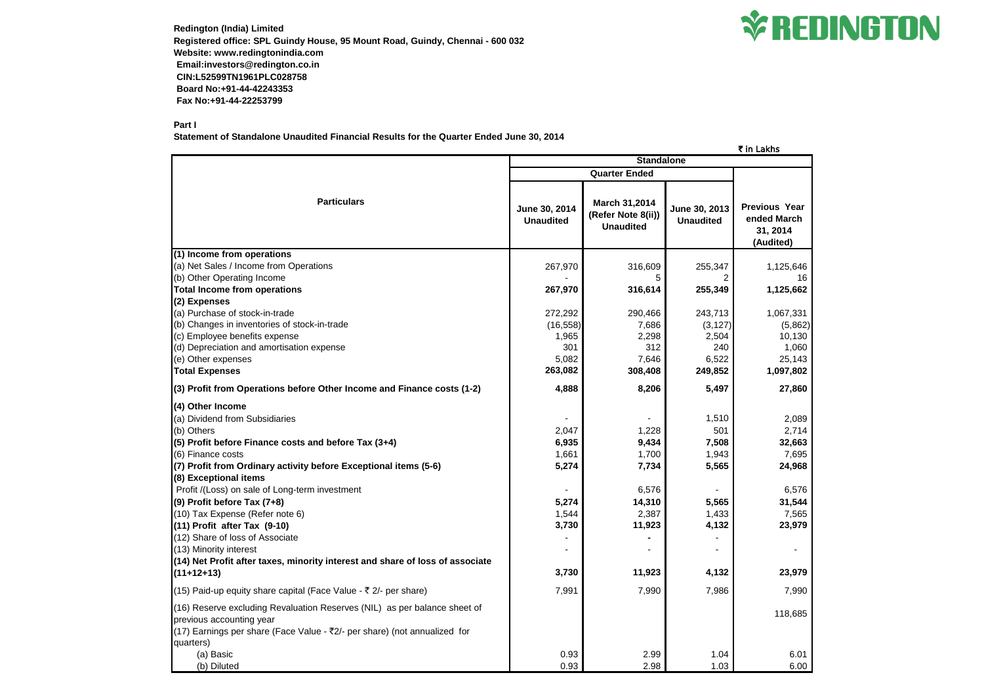**Redington (India) Limited Registered office: SPL Guindy House, 95 Mount Road, Guindy, Chennai - 600 032 Website: www.redingtonindia.com Email:investors@redington.co.in CIN:L52599TN1961PLC028758 Board No:+91-44-42243353 Fax No:+91-44-22253799**

## **Part I**

**Statement of Standalone Unaudited Financial Results for the Quarter Ended June 30, 2014**

|                                                                                                                                                                                                 |                                   |                                                                |                                   | k in Lakns                                                   |
|-------------------------------------------------------------------------------------------------------------------------------------------------------------------------------------------------|-----------------------------------|----------------------------------------------------------------|-----------------------------------|--------------------------------------------------------------|
|                                                                                                                                                                                                 | <b>Standalone</b>                 |                                                                |                                   |                                                              |
|                                                                                                                                                                                                 | <b>Quarter Ended</b>              |                                                                |                                   |                                                              |
| <b>Particulars</b>                                                                                                                                                                              | June 30, 2014<br><b>Unaudited</b> | <b>March 31,2014</b><br>(Refer Note 8(ii))<br><b>Unaudited</b> | June 30, 2013<br><b>Unaudited</b> | <b>Previous Year</b><br>ended March<br>31, 2014<br>(Audited) |
| (1) Income from operations                                                                                                                                                                      |                                   |                                                                |                                   |                                                              |
| (a) Net Sales / Income from Operations                                                                                                                                                          | 267,970                           | 316,609                                                        | 255,347                           | 1,125,646                                                    |
| (b) Other Operating Income                                                                                                                                                                      |                                   | 5                                                              |                                   | 16                                                           |
| <b>Total Income from operations</b>                                                                                                                                                             | 267,970                           | 316,614                                                        | 255,349                           | 1,125,662                                                    |
| (2) Expenses                                                                                                                                                                                    |                                   |                                                                |                                   |                                                              |
| (a) Purchase of stock-in-trade                                                                                                                                                                  | 272,292                           | 290,466                                                        | 243,713                           | 1,067,331                                                    |
| (b) Changes in inventories of stock-in-trade                                                                                                                                                    | (16, 558)                         | 7,686                                                          | (3, 127)                          | (5,862)                                                      |
| (c) Employee benefits expense                                                                                                                                                                   | 1,965                             | 2,298                                                          | 2,504                             | 10,130                                                       |
| (d) Depreciation and amortisation expense                                                                                                                                                       | 301                               | 312                                                            | 240                               | 1,060                                                        |
| (e) Other expenses                                                                                                                                                                              | 5,082                             | 7,646                                                          | 6,522                             | 25,143                                                       |
| <b>Total Expenses</b>                                                                                                                                                                           | 263,082                           | 308,408                                                        | 249,852                           | 1,097,802                                                    |
| (3) Profit from Operations before Other Income and Finance costs (1-2)                                                                                                                          | 4,888                             | 8,206                                                          | 5,497                             | 27,860                                                       |
| (4) Other Income                                                                                                                                                                                |                                   |                                                                |                                   |                                                              |
| (a) Dividend from Subsidiaries                                                                                                                                                                  |                                   |                                                                | 1,510                             | 2,089                                                        |
| (b) Others                                                                                                                                                                                      | 2,047                             | 1,228                                                          | 501                               | 2,714                                                        |
| (5) Profit before Finance costs and before Tax (3+4)                                                                                                                                            | 6,935                             | 9,434                                                          | 7,508                             | 32,663                                                       |
| (6) Finance costs                                                                                                                                                                               | 1,661                             | 1,700                                                          | 1,943                             | 7,695                                                        |
| (7) Profit from Ordinary activity before Exceptional items (5-6)                                                                                                                                | 5,274                             | 7,734                                                          | 5,565                             | 24,968                                                       |
| (8) Exceptional items                                                                                                                                                                           |                                   |                                                                |                                   |                                                              |
| Profit /(Loss) on sale of Long-term investment                                                                                                                                                  |                                   | 6,576                                                          |                                   | 6,576                                                        |
| (9) Profit before Tax (7+8)                                                                                                                                                                     | 5,274                             | 14,310                                                         | 5,565                             | 31,544                                                       |
| (10) Tax Expense (Refer note 6)                                                                                                                                                                 | 1,544                             | 2,387                                                          | 1,433                             | 7,565                                                        |
| $(11)$ Profit after Tax $(9-10)$                                                                                                                                                                | 3,730                             | 11,923                                                         | 4,132                             | 23,979                                                       |
| (12) Share of loss of Associate                                                                                                                                                                 |                                   |                                                                |                                   |                                                              |
| (13) Minority interest                                                                                                                                                                          |                                   |                                                                |                                   |                                                              |
| (14) Net Profit after taxes, minority interest and share of loss of associate                                                                                                                   |                                   |                                                                |                                   |                                                              |
| $(11+12+13)$                                                                                                                                                                                    | 3,730                             | 11,923                                                         | 4,132                             | 23,979                                                       |
|                                                                                                                                                                                                 |                                   |                                                                |                                   |                                                              |
| (15) Paid-up equity share capital (Face Value - $\bar{\tau}$ 2/- per share)                                                                                                                     | 7,991                             | 7,990                                                          | 7,986                             | 7,990                                                        |
| (16) Reserve excluding Revaluation Reserves (NIL) as per balance sheet of<br>previous accounting year<br>(17) Earnings per share (Face Value - ₹2/- per share) (not annualized for<br>quarters) |                                   |                                                                |                                   | 118,685                                                      |
| (a) Basic                                                                                                                                                                                       | 0.93                              | 2.99                                                           | 1.04                              | 6.01                                                         |
| (b) Diluted                                                                                                                                                                                     | 0.93                              | 2.98                                                           | 1.03                              | 6.00                                                         |



| ₹ in Lakhs                                                     |  |  |
|----------------------------------------------------------------|--|--|
| <b>Previous Year</b><br>ended March<br>31, 2014<br>(Audited)   |  |  |
| 1,125,646<br>16<br>1,125,662                                   |  |  |
| 1,067,331<br>(5,862)<br>10,130<br>1,060<br>25,143<br>1,097,802 |  |  |
| 27,860                                                         |  |  |
| 2,089<br>2,714<br>32,663<br>7,695<br>24,968                    |  |  |
| 6,576<br>31,544<br>7,565<br>23,979                             |  |  |
|                                                                |  |  |
| 23,979                                                         |  |  |
| 7,990                                                          |  |  |
| 118,685                                                        |  |  |
| 6.01<br>6.00                                                   |  |  |